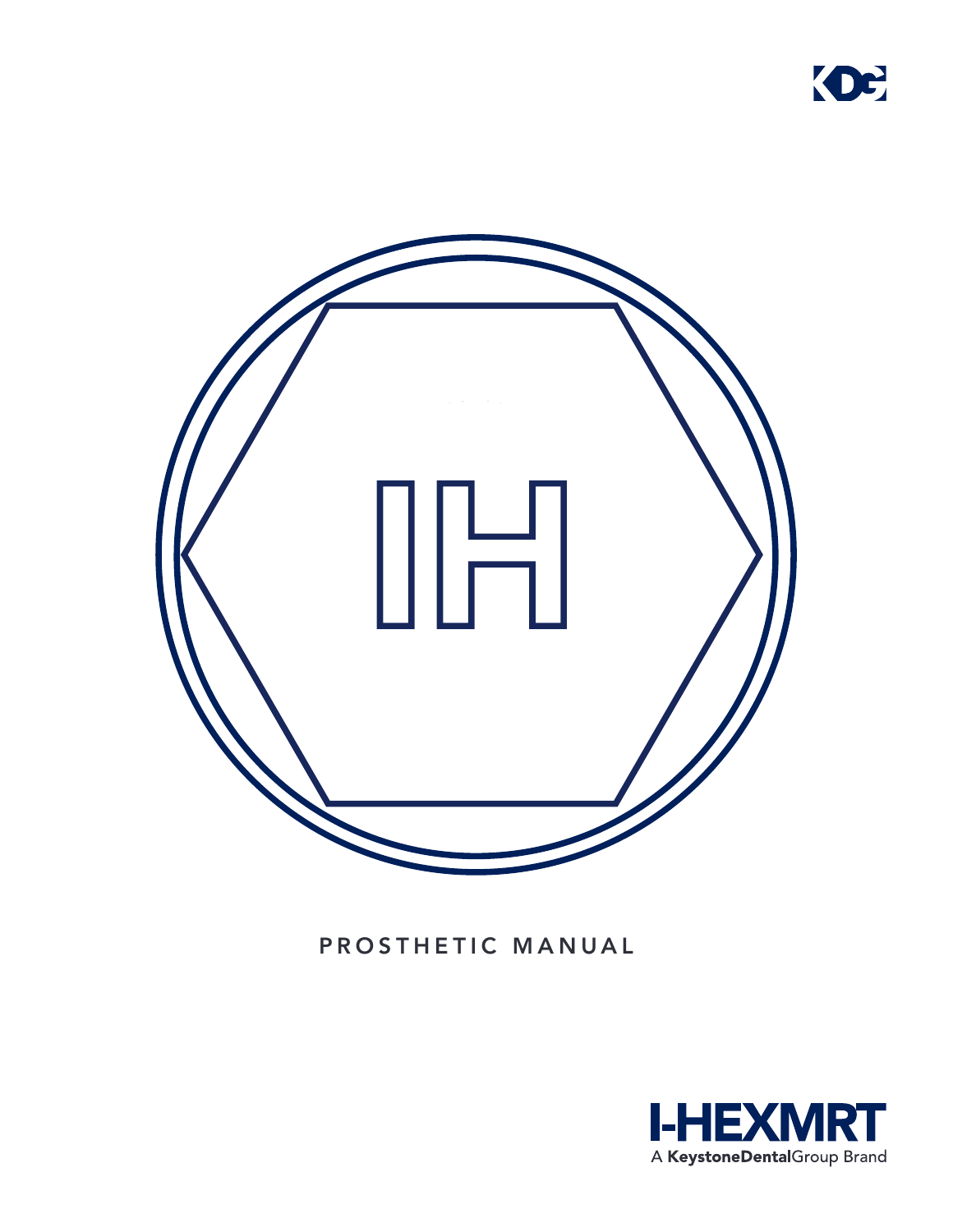



PROSTHETIC MANUAL

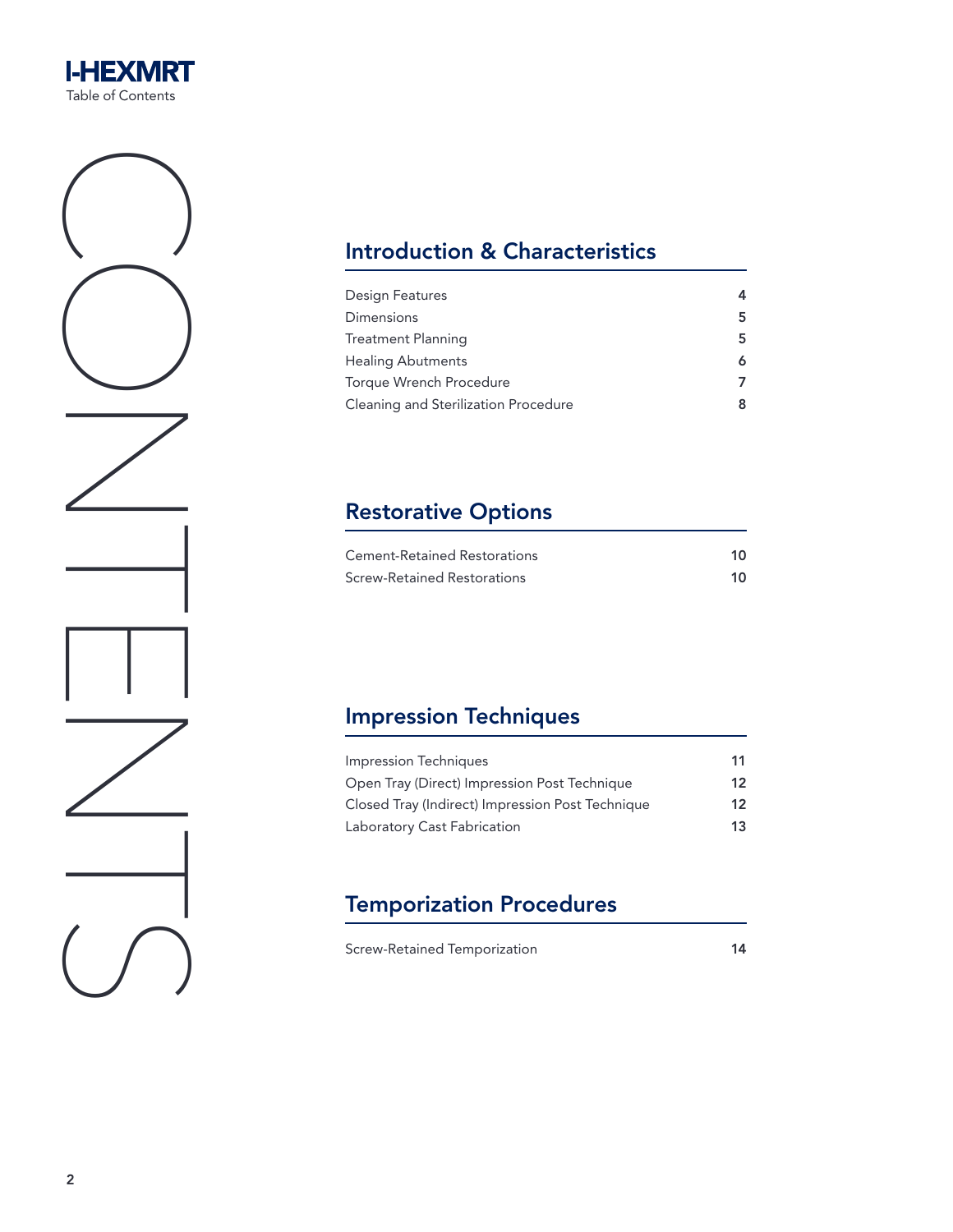



# Introduction & Characteristics

| Design Features                      |   |
|--------------------------------------|---|
| Dimensions                           | 5 |
| Treatment Planning                   | 5 |
| Healing Abutments                    |   |
| Torque Wrench Procedure              |   |
| Cleaning and Sterilization Procedure |   |
|                                      |   |

# Restorative Options

| <b>Cement-Retained Restorations</b> |    |
|-------------------------------------|----|
| <b>Screw-Retained Restorations</b>  | 10 |

# Impression Techniques

| Impression Techniques                            | 11 |
|--------------------------------------------------|----|
| Open Tray (Direct) Impression Post Technique     | 12 |
| Closed Tray (Indirect) Impression Post Technique | 12 |
| Laboratory Cast Fabrication                      | 13 |

# Temporization Procedures

Screw-Retained Temporization 14

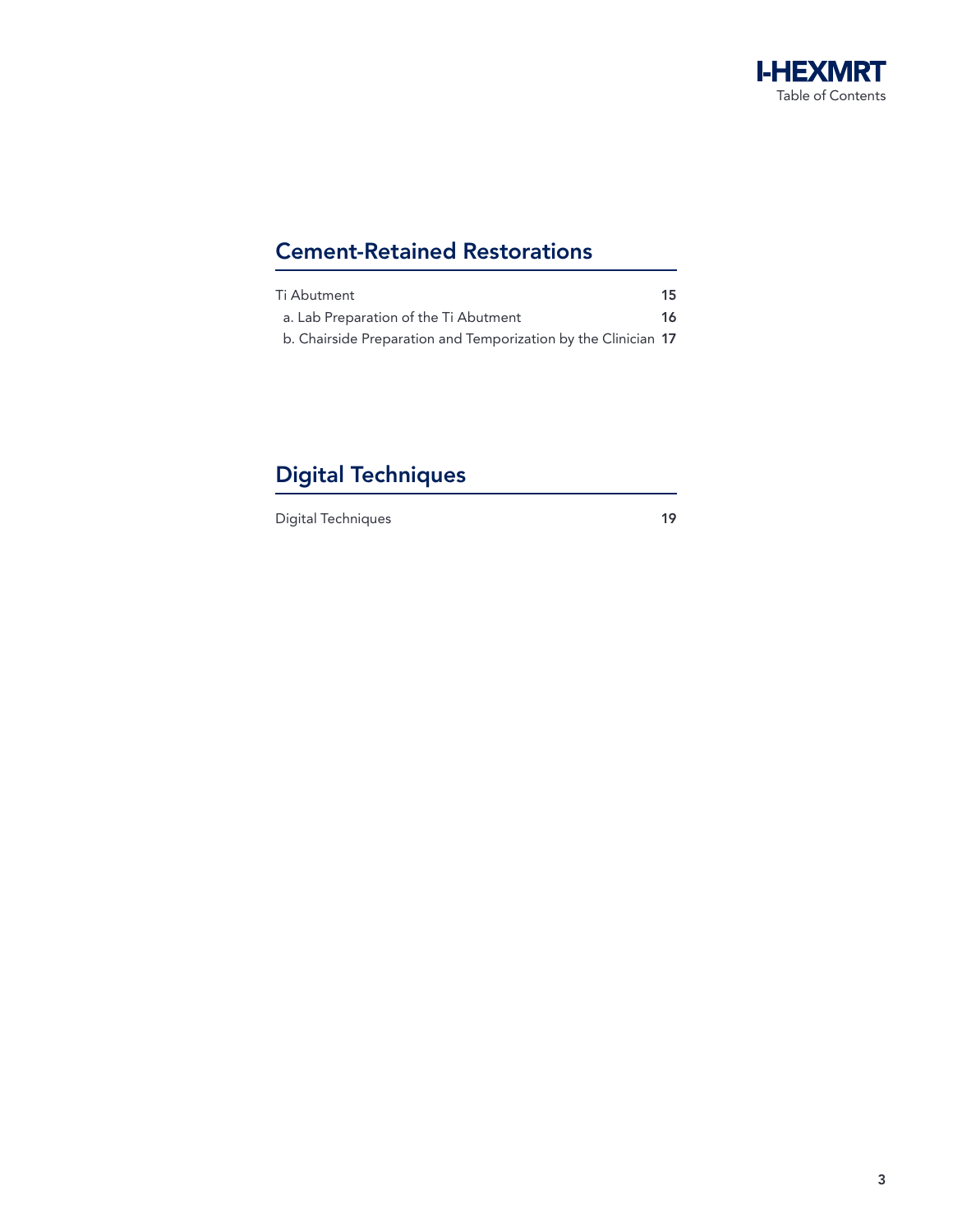

# Cement-Retained Restorations

| Ti Abutment                                                    | 15 |
|----------------------------------------------------------------|----|
| a. Lab Preparation of the Ti Abutment                          | 16 |
| b. Chairside Preparation and Temporization by the Clinician 17 |    |

# Digital Techniques

Digital Techniques 19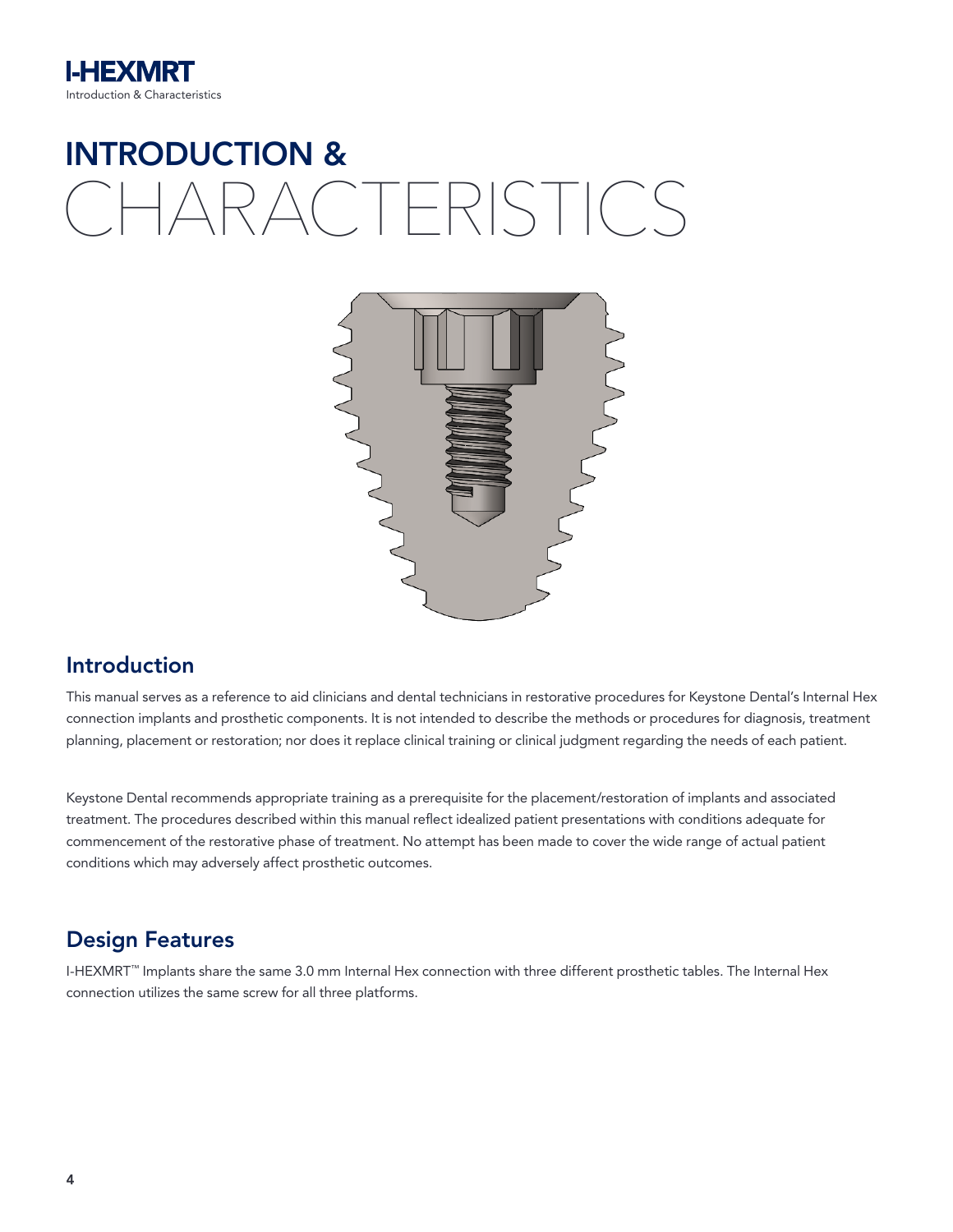

# INTRODUCTION & CHARACTERISTICS



# Introduction

This manual serves as a reference to aid clinicians and dental technicians in restorative procedures for Keystone Dental's Internal Hex connection implants and prosthetic components. It is not intended to describe the methods or procedures for diagnosis, treatment planning, placement or restoration; nor does it replace clinical training or clinical judgment regarding the needs of each patient.

Keystone Dental recommends appropriate training as a prerequisite for the placement/restoration of implants and associated treatment. The procedures described within this manual reflect idealized patient presentations with conditions adequate for commencement of the restorative phase of treatment. No attempt has been made to cover the wide range of actual patient conditions which may adversely affect prosthetic outcomes.

# Design Features

I-HEXMRT™ Implants share the same 3.0 mm Internal Hex connection with three different prosthetic tables. The Internal Hex connection utilizes the same screw for all three platforms.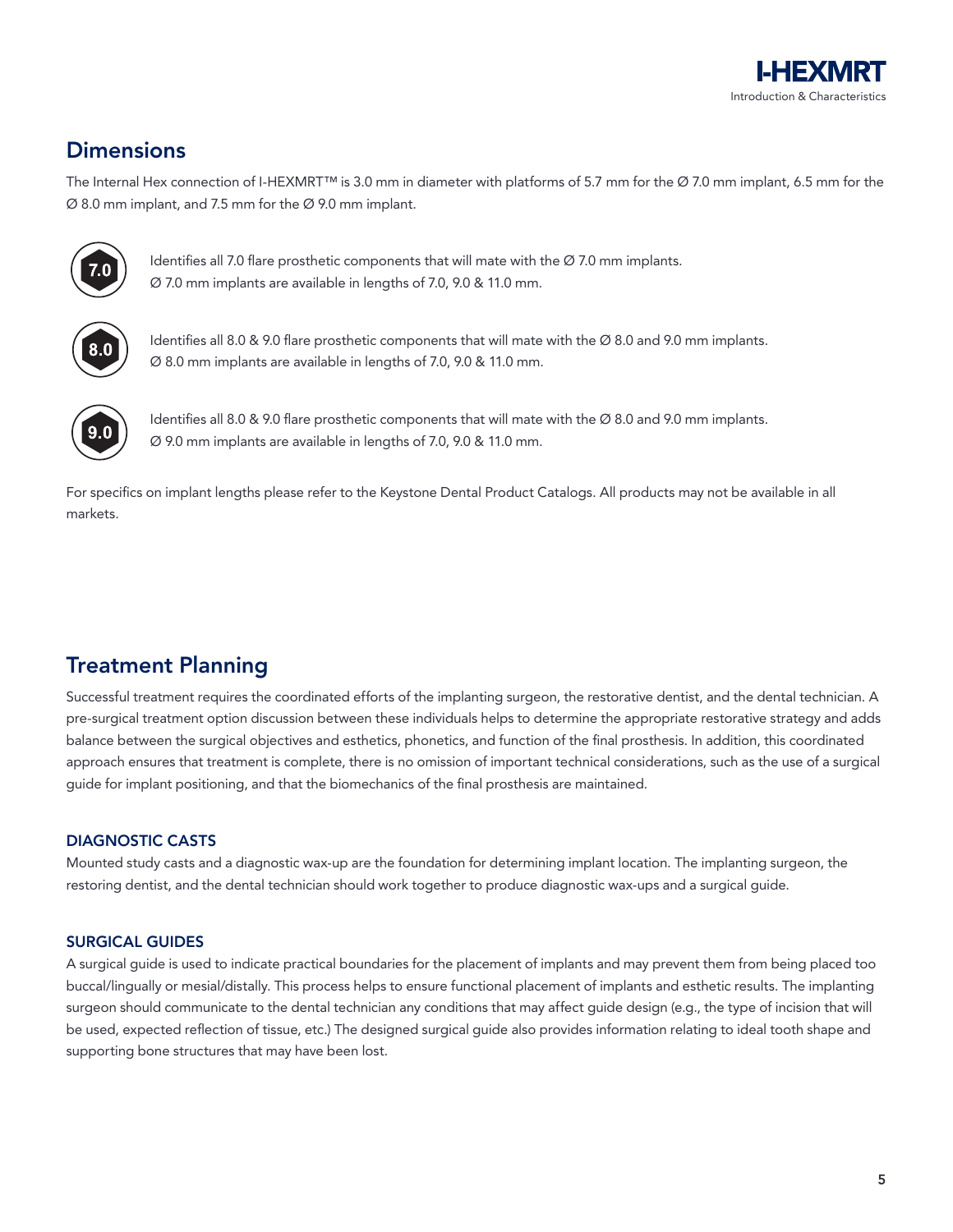

# **Dimensions**

The Internal Hex connection of I-HEXMRT™ is 3.0 mm in diameter with platforms of 5.7 mm for the Ø 7.0 mm implant, 6.5 mm for the Ø 8.0 mm implant, and 7.5 mm for the Ø 9.0 mm implant.



Identifies all 7.0 flare prosthetic components that will mate with the Ø 7.0 mm implants. Ø 7.0 mm implants are available in lengths of 7.0, 9.0 & 11.0 mm.



**4.1 5.0 4.1 5.0** Identifies all 8.0 & 9.0 flare prosthetic components that will mate with the Ø 8.0 and 9.0 mm implants. Ø 8.0 mm implants are available in lengths of 7.0, 9.0 & 11.0 mm.



**4.1 5.0** Identifies all 8.0 & 9.0 flare prosthetic components that will mate with the Ø 8.0 and 9.0 mm implants. Ø 9.0 mm implants are available in lengths of 7.0, 9.0 & 11.0 mm.

**4.1 5.0** For specifics on implant lengths please refer to the Keystone Dental Product Catalogs. All products may not be available in all **4.1 5.0** markets.

# Treatment Planning

Successful treatment requires the coordinated efforts of the implanting surgeon, the restorative dentist, and the dental technician. A pre-surgical treatment option discussion between these individuals helps to determine the appropriate restorative strategy and adds balance between the surgical objectives and esthetics, phonetics, and function of the final prosthesis. In addition, this coordinated approach ensures that treatment is complete, there is no omission of important technical considerations, such as the use of a surgical guide for implant positioning, and that the biomechanics of the final prosthesis are maintained.

### DIAGNOSTIC CASTS

Mounted study casts and a diagnostic wax-up are the foundation for determining implant location. The implanting surgeon, the restoring dentist, and the dental technician should work together to produce diagnostic wax-ups and a surgical guide.

### SURGICAL GUIDES

A surgical guide is used to indicate practical boundaries for the placement of implants and may prevent them from being placed too buccal/lingually or mesial/distally. This process helps to ensure functional placement of implants and esthetic results. The implanting surgeon should communicate to the dental technician any conditions that may affect guide design (e.g., the type of incision that will be used, expected reflection of tissue, etc.) The designed surgical guide also provides information relating to ideal tooth shape and supporting bone structures that may have been lost.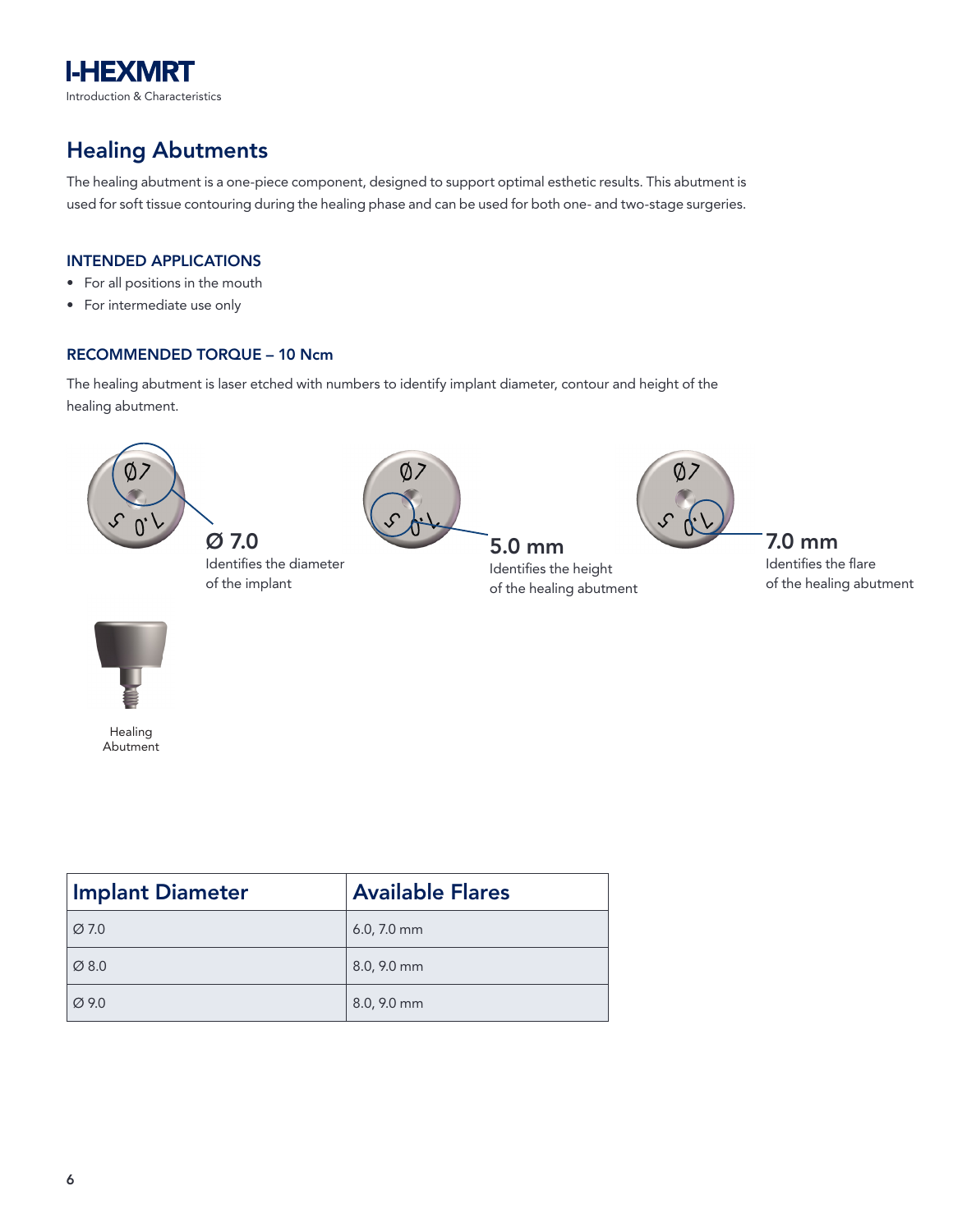**I-HEXMRT** Introduction & Characteristics

# Healing Abutments

The healing abutment is a one-piece component, designed to support optimal esthetic results. This abutment is used for soft tissue contouring during the healing phase and can be used for both one- and two-stage surgeries.

## INTENDED APPLICATIONS

- For all positions in the mouth
- For intermediate use only

## RECOMMENDED TORQUE – 10 Ncm

The healing abutment is laser etched with numbers to identify implant diameter, contour and height of the healing abutment.



Ø 7.0

Identifies the diameter of the implant





5.0 mm Identifies the height of the healing abutment

7.0 mm Identifies the flare of the healing abutment



Healing Abutment

| <b>Implant Diameter</b> | <b>Available Flares</b> |
|-------------------------|-------------------------|
| $\varnothing$ 7.0       | $6.0, 7.0$ mm           |
| $\varnothing$ 8.0       | 8.0, 9.0 mm             |
| $\varnothing$ 9.0       | 8.0, 9.0 mm             |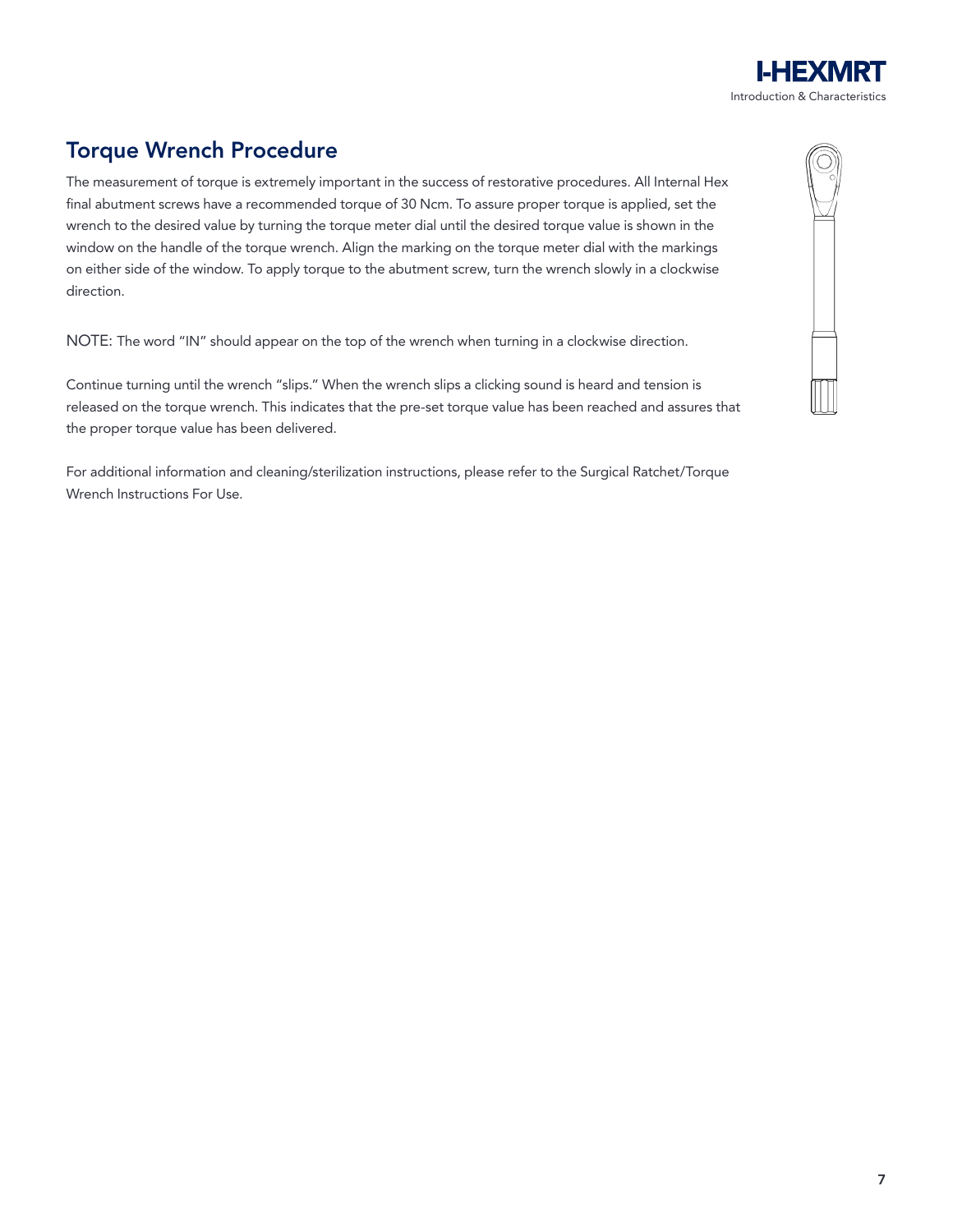

# Torque Wrench Procedure

The measurement of torque is extremely important in the success of restorative procedures. All Internal Hex final abutment screws have a recommended torque of 30 Ncm. To assure proper torque is applied, set the wrench to the desired value by turning the torque meter dial until the desired torque value is shown in the window on the handle of the torque wrench. Align the marking on the torque meter dial with the markings on either side of the window. To apply torque to the abutment screw, turn the wrench slowly in a clockwise direction.

NOTE: The word "IN" should appear on the top of the wrench when turning in a clockwise direction.

Continue turning until the wrench "slips." When the wrench slips a clicking sound is heard and tension is released on the torque wrench. This indicates that the pre-set torque value has been reached and assures that the proper torque value has been delivered.

For additional information and cleaning/sterilization instructions, please refer to the Surgical Ratchet/Torque Wrench Instructions For Use.

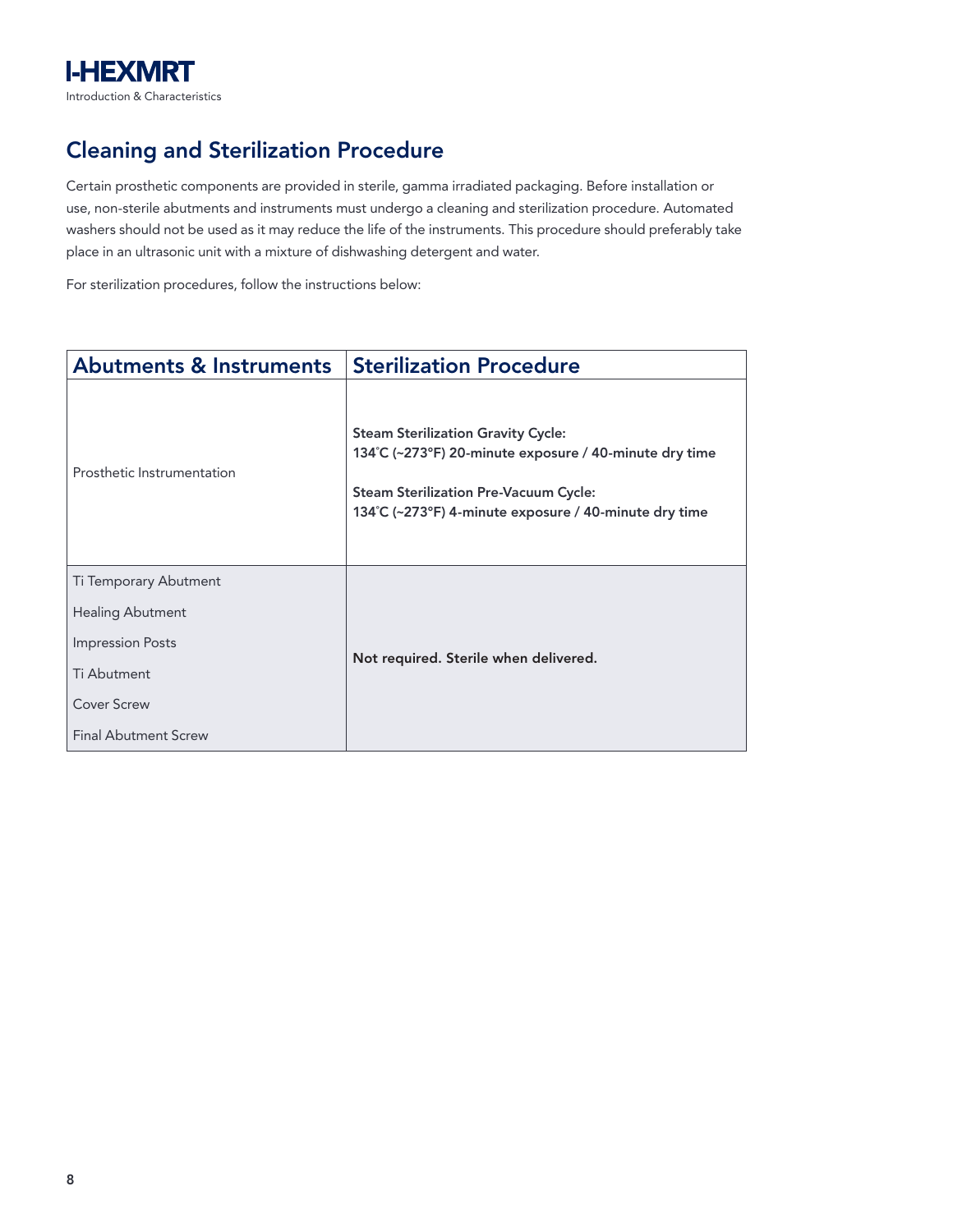

# Cleaning and Sterilization Procedure

Certain prosthetic components are provided in sterile, gamma irradiated packaging. Before installation or use, non-sterile abutments and instruments must undergo a cleaning and sterilization procedure. Automated washers should not be used as it may reduce the life of the instruments. This procedure should preferably take place in an ultrasonic unit with a mixture of dishwashing detergent and water.

For sterilization procedures, follow the instructions below:

| <b>Abutments &amp; Instruments</b> | Sterilization Procedure                                                                                                                                                                                      |
|------------------------------------|--------------------------------------------------------------------------------------------------------------------------------------------------------------------------------------------------------------|
| Prosthetic Instrumentation         | <b>Steam Sterilization Gravity Cycle:</b><br>134°C (~273°F) 20-minute exposure / 40-minute dry time<br><b>Steam Sterilization Pre-Vacuum Cycle:</b><br>134°C (~273°F) 4-minute exposure / 40-minute dry time |
| Ti Temporary Abutment              |                                                                                                                                                                                                              |
| Healing Abutment                   |                                                                                                                                                                                                              |
| <b>Impression Posts</b>            |                                                                                                                                                                                                              |
| Ti Abutment                        | Not required. Sterile when delivered.                                                                                                                                                                        |
| <b>Cover Screw</b>                 |                                                                                                                                                                                                              |
| <b>Final Abutment Screw</b>        |                                                                                                                                                                                                              |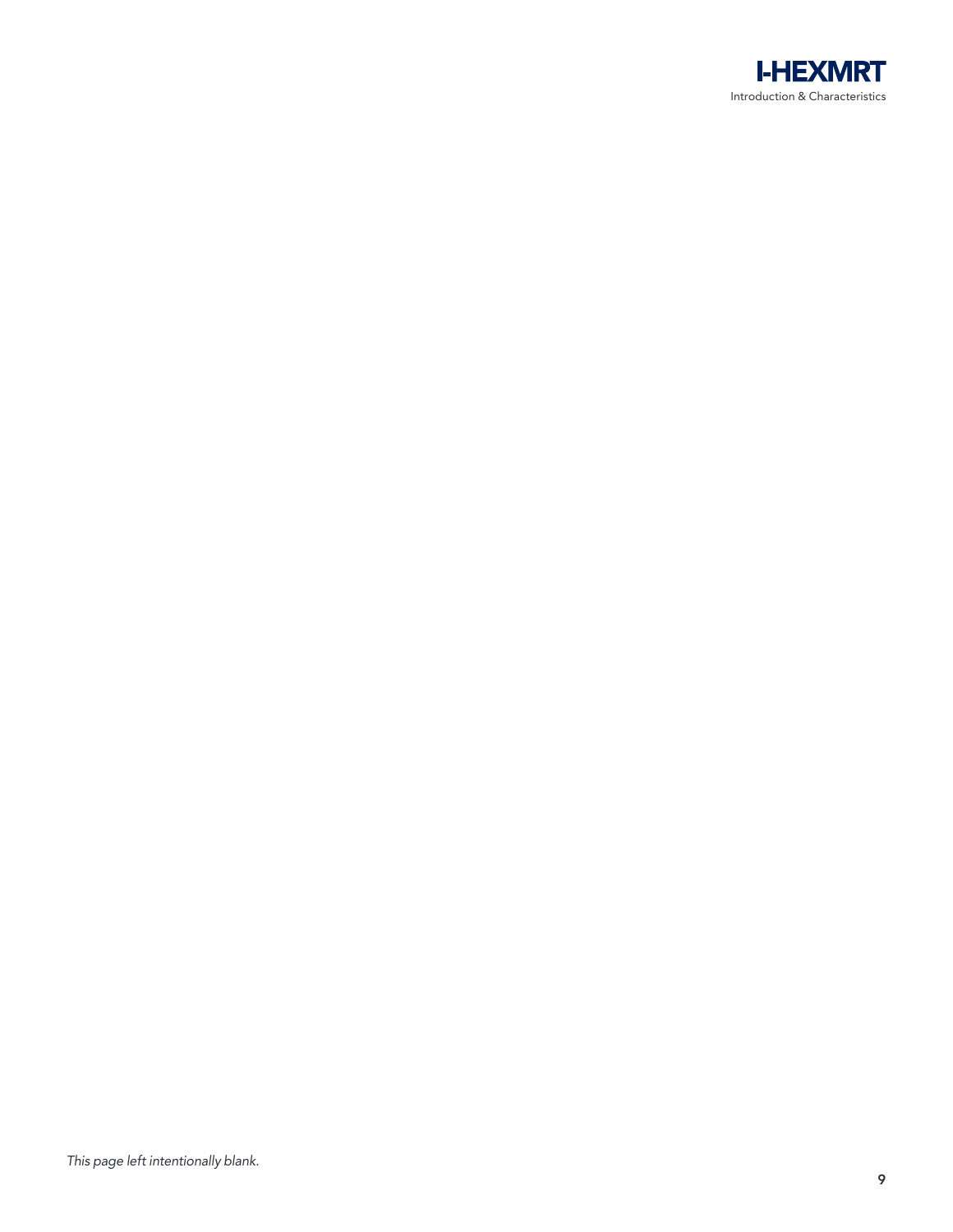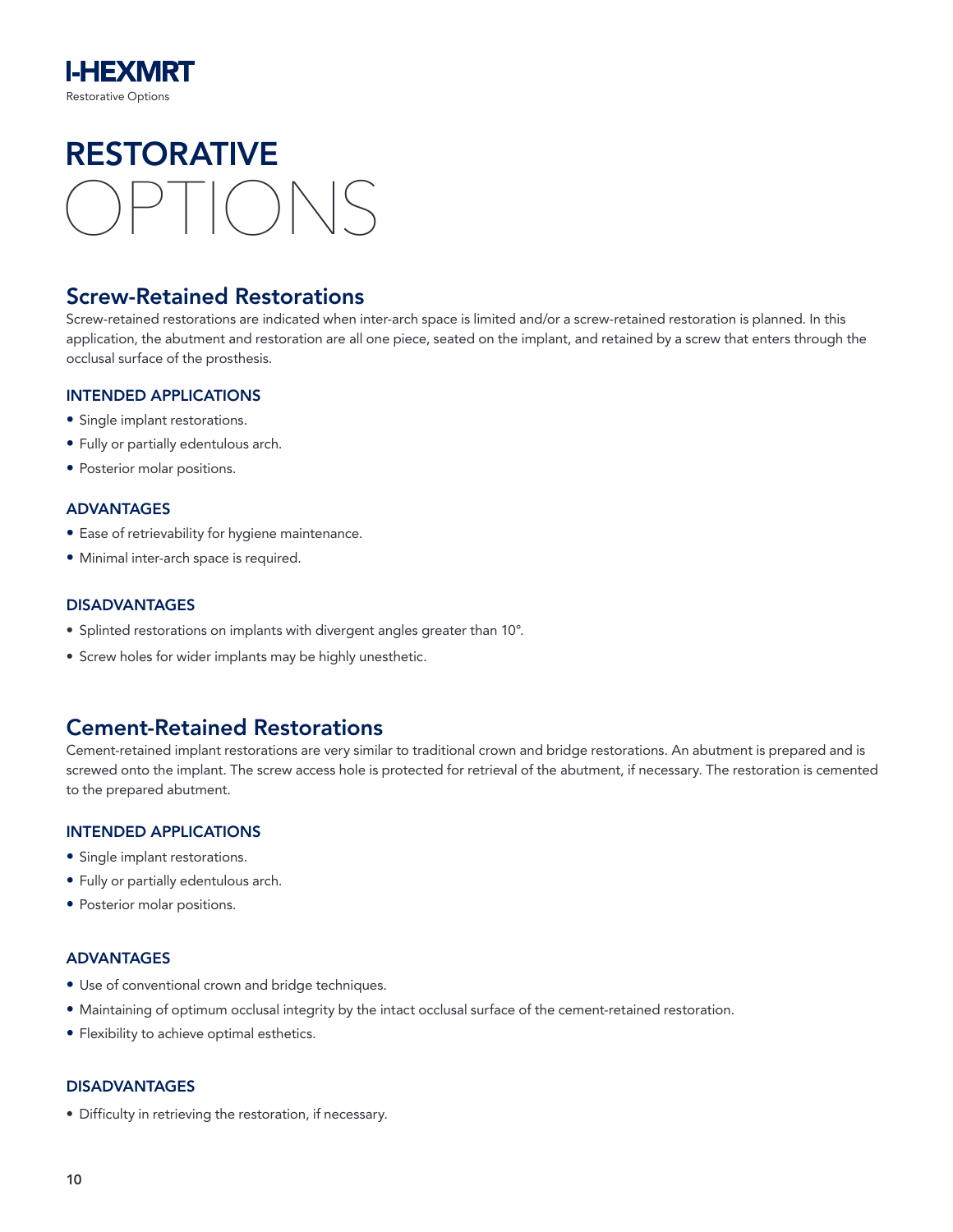# RESTORATIVE OPTIONS

# Screw-Retained Restorations

Screw-retained restorations are indicated when inter-arch space is limited and/or a screw-retained restoration is planned. In this application, the abutment and restoration are all one piece, seated on the implant, and retained by a screw that enters through the occlusal surface of the prosthesis.

#### INTENDED APPLICATIONS

- Single implant restorations.
- Fully or partially edentulous arch.
- Posterior molar positions.

#### ADVANTAGES

Restorative Options

**LHEXMRT** 

- Ease of retrievability for hygiene maintenance.
- Minimal inter-arch space is required.

#### DISADVANTAGES

- Splinted restorations on implants with divergent angles greater than 10°.
- Screw holes for wider implants may be highly unesthetic.

# Cement-Retained Restorations

Cement-retained implant restorations are very similar to traditional crown and bridge restorations. An abutment is prepared and is screwed onto the implant. The screw access hole is protected for retrieval of the abutment, if necessary. The restoration is cemented to the prepared abutment.

### INTENDED APPLICATIONS

- Single implant restorations.
- Fully or partially edentulous arch.
- Posterior molar positions.

### ADVANTAGES

- Use of conventional crown and bridge techniques.
- Maintaining of optimum occlusal integrity by the intact occlusal surface of the cement-retained restoration.
- Flexibility to achieve optimal esthetics.

### **DISADVANTAGES**

• Difficulty in retrieving the restoration, if necessary.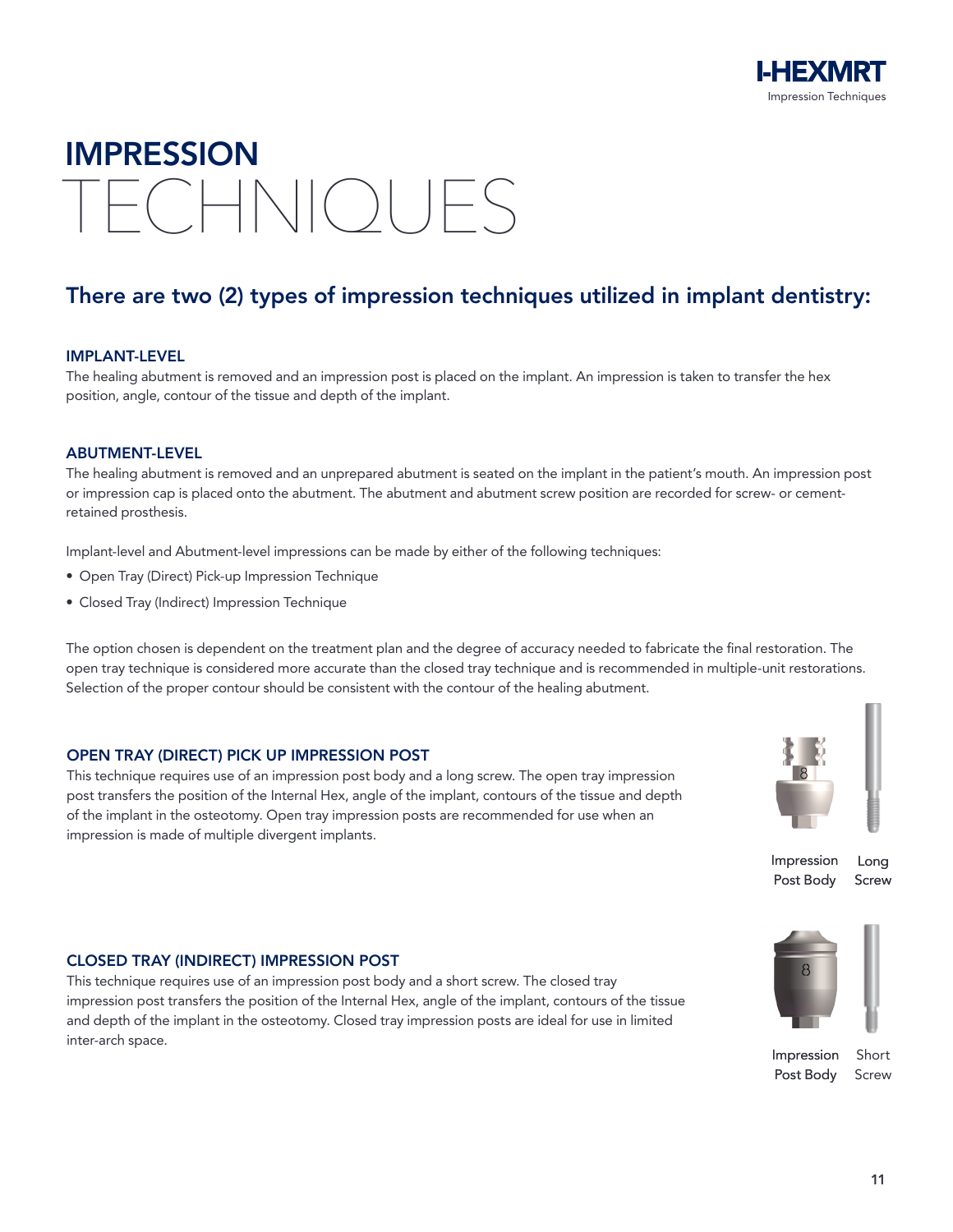

# IMPRESSION TECHNIQUES

# There are two (2) types of impression techniques utilized in implant dentistry:

#### IMPLANT-LEVEL

The healing abutment is removed and an impression post is placed on the implant. An impression is taken to transfer the hex position, angle, contour of the tissue and depth of the implant.

#### ABUTMENT-LEVEL

The healing abutment is removed and an unprepared abutment is seated on the implant in the patient's mouth. An impression post or impression cap is placed onto the abutment. The abutment and abutment screw position are recorded for screw- or cementretained prosthesis.

Implant-level and Abutment-level impressions can be made by either of the following techniques:

- Open Tray (Direct) Pick-up Impression Technique
- Closed Tray (Indirect) Impression Technique

The option chosen is dependent on the treatment plan and the degree of accuracy needed to fabricate the final restoration. The open tray technique is considered more accurate than the closed tray technique and is recommended in multiple-unit restorations. Selection of the proper contour should be consistent with the contour of the healing abutment.

#### OPEN TRAY (DIRECT) PICK UP IMPRESSION POST

This technique requires use of an impression post body and a long screw. The open tray impression post transfers the position of the Internal Hex, angle of the implant, contours of the tissue and depth of the implant in the osteotomy. Open tray impression posts are recommended for use when an impression is made of multiple divergent implants.



Impression Post Body Long Screw



Impression Post Body Short Screw

#### CLOSED TRAY (INDIRECT) IMPRESSION POST

This technique requires use of an impression post body and a short screw. The closed tray impression post transfers the position of the Internal Hex, angle of the implant, contours of the tissue and depth of the implant in the osteotomy. Closed tray impression posts are ideal for use in limited inter-arch space.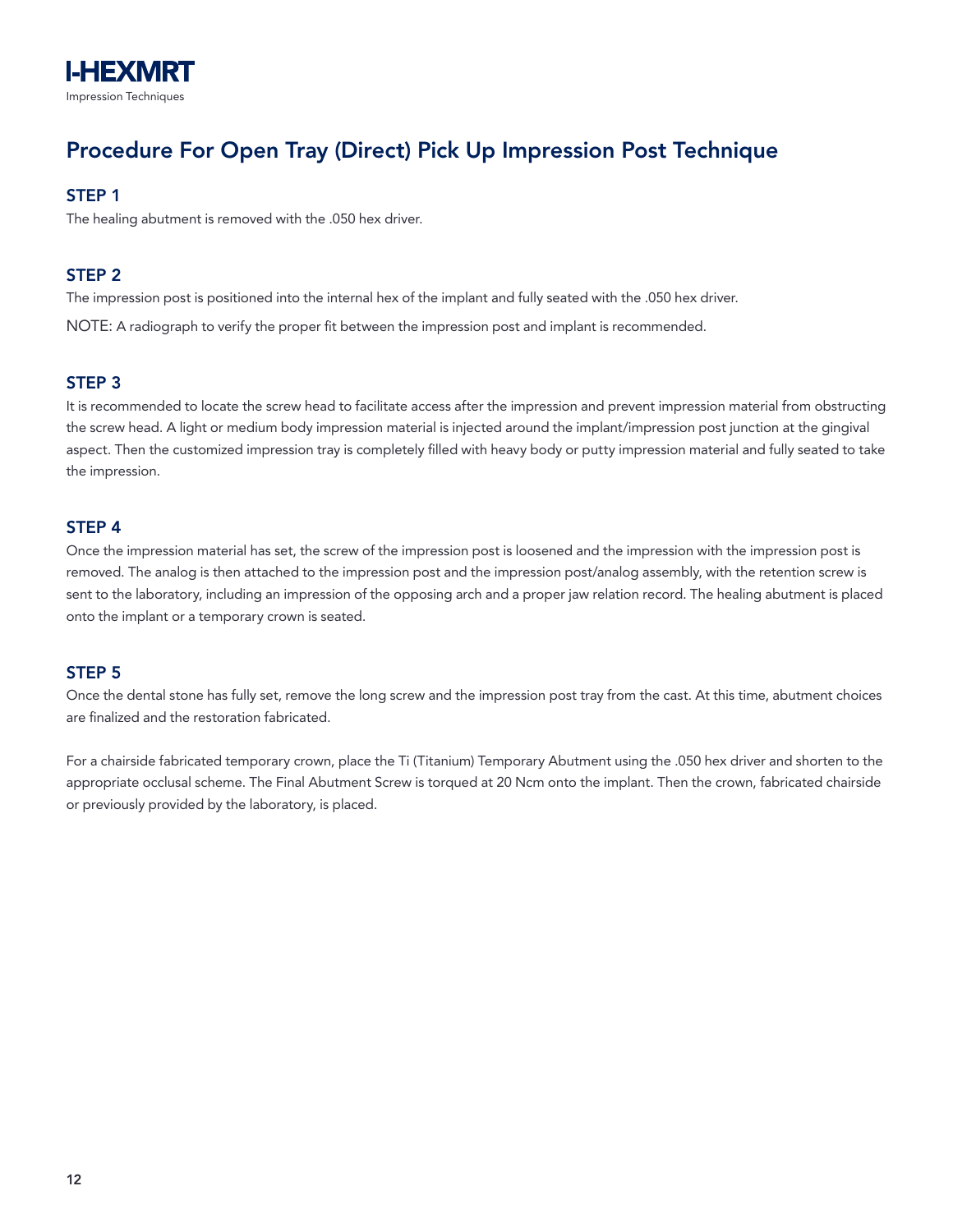

# Procedure For Open Tray (Direct) Pick Up Impression Post Technique

## STEP 1

The healing abutment is removed with the .050 hex driver.

### STEP 2

The impression post is positioned into the internal hex of the implant and fully seated with the .050 hex driver.

NOTE: A radiograph to verify the proper fit between the impression post and implant is recommended.

## STEP 3

It is recommended to locate the screw head to facilitate access after the impression and prevent impression material from obstructing the screw head. A light or medium body impression material is injected around the implant/impression post junction at the gingival aspect. Then the customized impression tray is completely filled with heavy body or putty impression material and fully seated to take the impression.

### STEP 4

Once the impression material has set, the screw of the impression post is loosened and the impression with the impression post is removed. The analog is then attached to the impression post and the impression post/analog assembly, with the retention screw is sent to the laboratory, including an impression of the opposing arch and a proper jaw relation record. The healing abutment is placed onto the implant or a temporary crown is seated.

## STEP 5

Once the dental stone has fully set, remove the long screw and the impression post tray from the cast. At this time, abutment choices are finalized and the restoration fabricated.

For a chairside fabricated temporary crown, place the Ti (Titanium) Temporary Abutment using the .050 hex driver and shorten to the appropriate occlusal scheme. The Final Abutment Screw is torqued at 20 Ncm onto the implant. Then the crown, fabricated chairside or previously provided by the laboratory, is placed.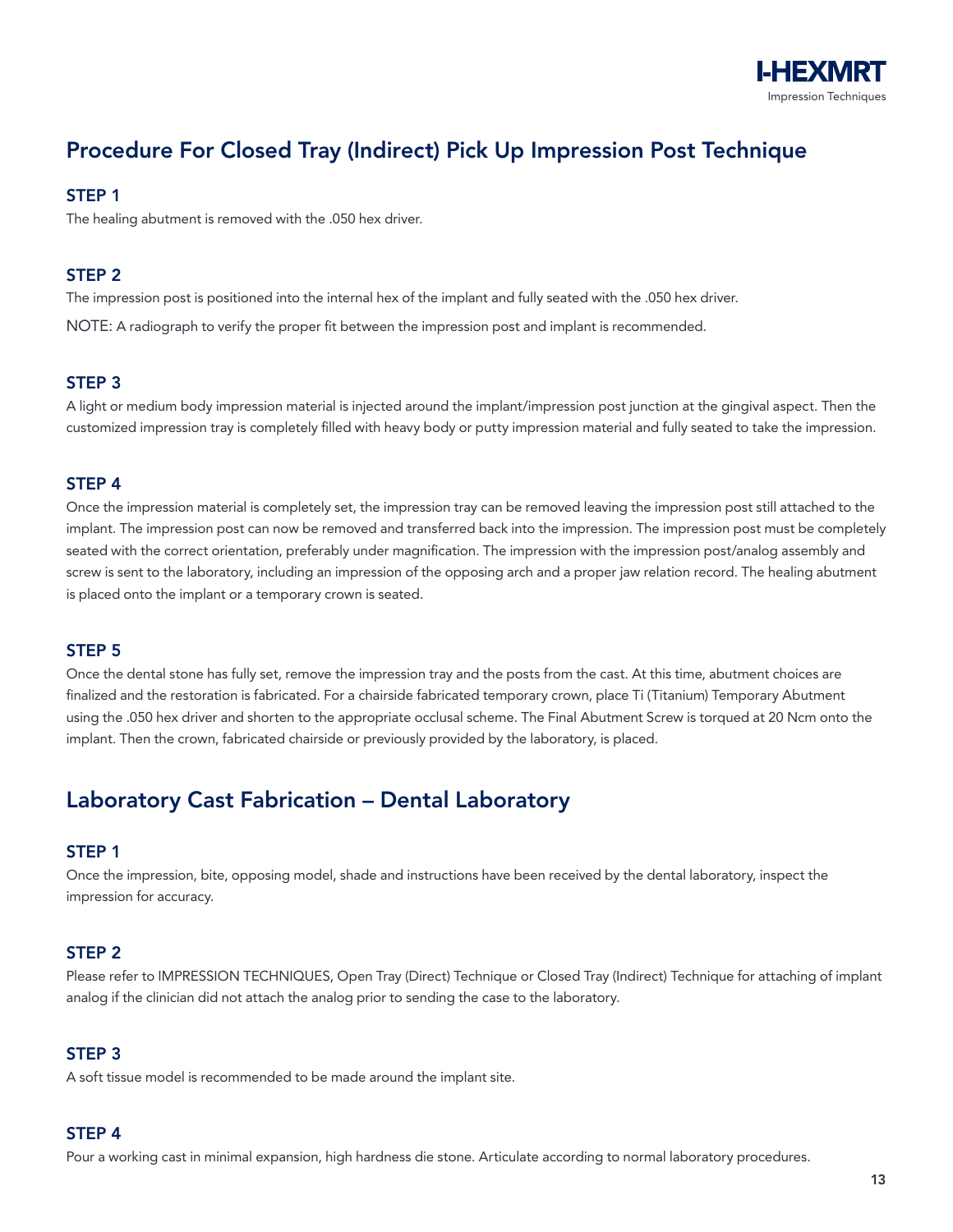

# Procedure For Closed Tray (Indirect) Pick Up Impression Post Technique

### STEP 1

The healing abutment is removed with the .050 hex driver.

### STEP 2

The impression post is positioned into the internal hex of the implant and fully seated with the .050 hex driver. NOTE: A radiograph to verify the proper fit between the impression post and implant is recommended.

### STEP 3

A light or medium body impression material is injected around the implant/impression post junction at the gingival aspect. Then the customized impression tray is completely filled with heavy body or putty impression material and fully seated to take the impression.

### STEP 4

Once the impression material is completely set, the impression tray can be removed leaving the impression post still attached to the implant. The impression post can now be removed and transferred back into the impression. The impression post must be completely seated with the correct orientation, preferably under magnification. The impression with the impression post/analog assembly and screw is sent to the laboratory, including an impression of the opposing arch and a proper jaw relation record. The healing abutment is placed onto the implant or a temporary crown is seated.

### STEP 5

Once the dental stone has fully set, remove the impression tray and the posts from the cast. At this time, abutment choices are finalized and the restoration is fabricated. For a chairside fabricated temporary crown, place Ti (Titanium) Temporary Abutment using the .050 hex driver and shorten to the appropriate occlusal scheme. The Final Abutment Screw is torqued at 20 Ncm onto the implant. Then the crown, fabricated chairside or previously provided by the laboratory, is placed.

# Laboratory Cast Fabrication – Dental Laboratory

### STEP 1

Once the impression, bite, opposing model, shade and instructions have been received by the dental laboratory, inspect the impression for accuracy.

### STEP 2

Please refer to IMPRESSION TECHNIQUES, Open Tray (Direct) Technique or Closed Tray (Indirect) Technique for attaching of implant analog if the clinician did not attach the analog prior to sending the case to the laboratory.

### STEP 3

A soft tissue model is recommended to be made around the implant site.

### STEP 4

Pour a working cast in minimal expansion, high hardness die stone. Articulate according to normal laboratory procedures.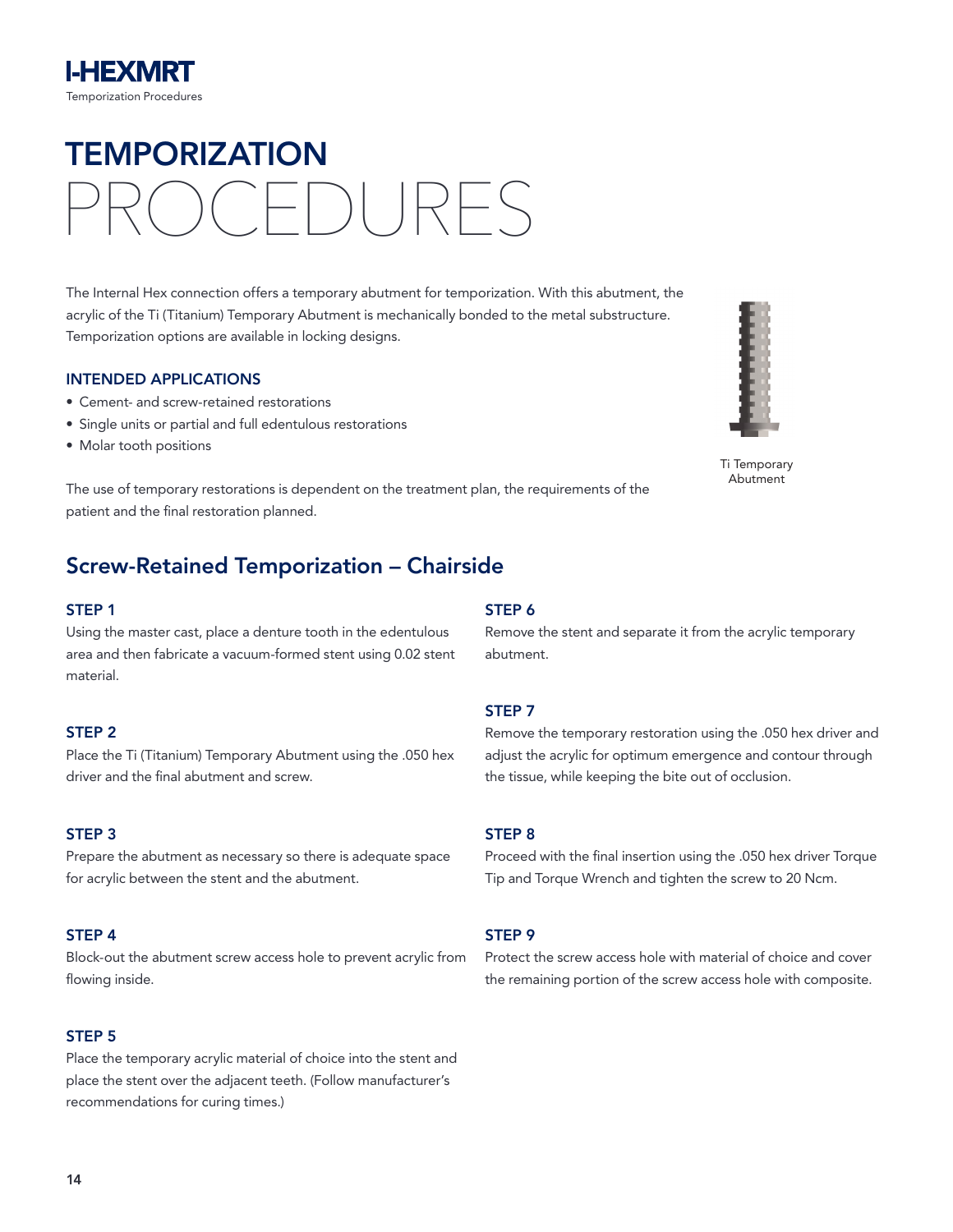The Internal Hex connection offers a temporary abutment for temporization. With this abutment, the acrylic of the Ti (Titanium) Temporary Abutment is mechanically bonded to the metal substructure.

#### INTENDED APPLICATIONS

- Cement- and screw-retained restorations
- Single units or partial and full edentulous restorations

Temporization options are available in locking designs.

• Molar tooth positions

The use of temporary restorations is dependent on the treatment plan, the requirements of the patient and the final restoration planned.

# Screw-Retained Temporization – Chairside

#### STEP 1

Using the master cast, place a denture tooth in the edentulous area and then fabricate a vacuum-formed stent using 0.02 stent material.

#### STEP 2

Place the Ti (Titanium) Temporary Abutment using the .050 hex driver and the final abutment and screw.

#### STEP 3

Prepare the abutment as necessary so there is adequate space for acrylic between the stent and the abutment.

#### STEP 4

Block-out the abutment screw access hole to prevent acrylic from flowing inside.

#### STEP 5

Place the temporary acrylic material of choice into the stent and place the stent over the adjacent teeth. (Follow manufacturer's recommendations for curing times.)

#### STEP 6

Remove the stent and separate it from the acrylic temporary abutment.

#### STEP 7

Remove the temporary restoration using the .050 hex driver and adjust the acrylic for optimum emergence and contour through the tissue, while keeping the bite out of occlusion.

#### STEP 8

Proceed with the final insertion using the .050 hex driver Torque Tip and Torque Wrench and tighten the screw to 20 Ncm.

#### STEP 9

Protect the screw access hole with material of choice and cover the remaining portion of the screw access hole with composite.

Ti Temporary Abutment



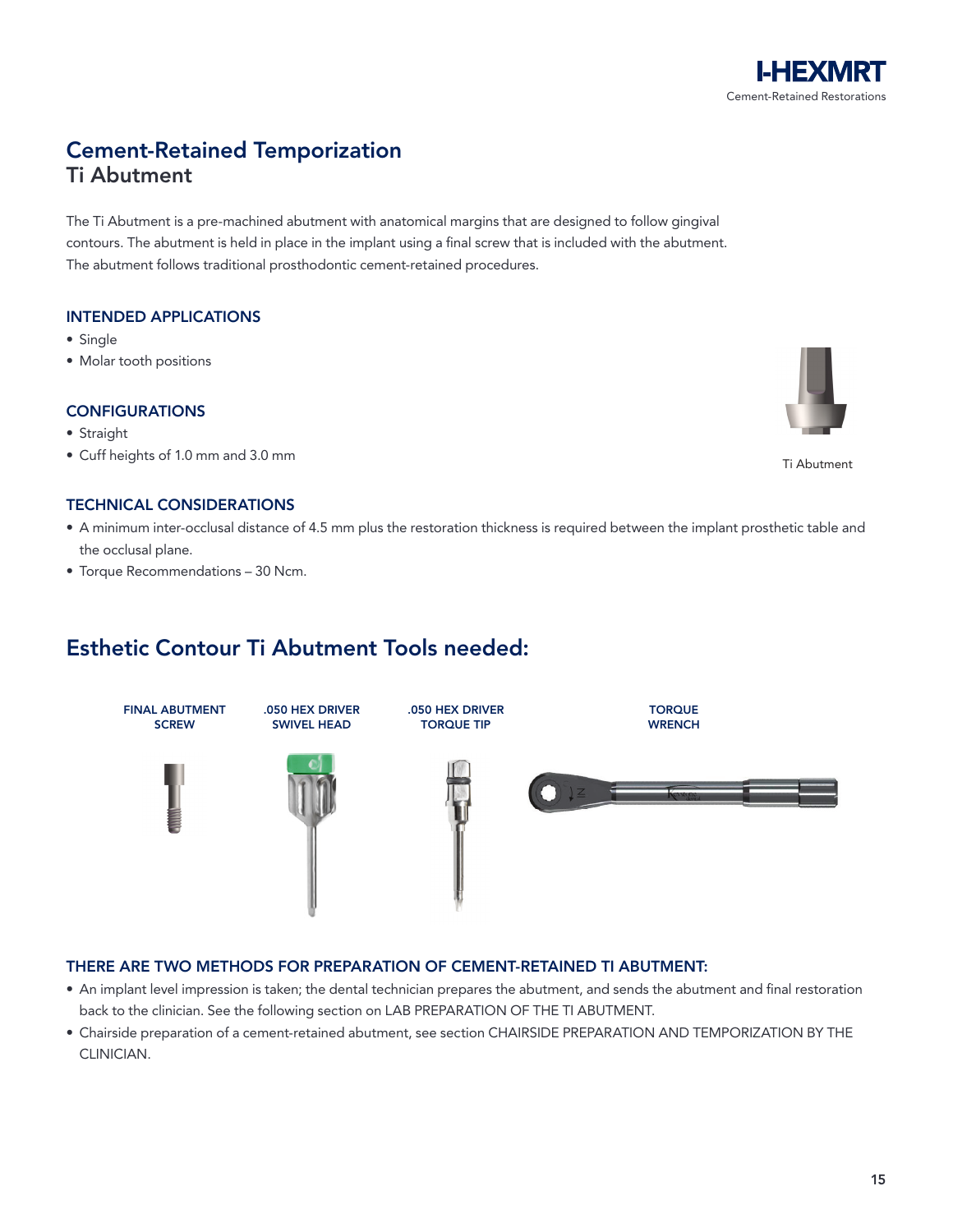# Cement-Retained Temporization Ti Abutment

The Ti Abutment is a pre-machined abutment with anatomical margins that are designed to follow gingival contours. The abutment is held in place in the implant using a final screw that is included with the abutment. The abutment follows traditional prosthodontic cement-retained procedures.

## INTENDED APPLICATIONS

- Single
- Molar tooth positions

### **CONFIGURATIONS**

- Straight
- Cuff heights of 1.0 mm and 3.0 mm

### TECHNICAL CONSIDERATIONS

- A minimum inter-occlusal distance of 4.5 mm plus the restoration thickness is required between the implant prosthetic table and the occlusal plane.
- Torque Recommendations 30 Ncm.

# Esthetic Contour Ti Abutment Tools needed:



## THERE ARE TWO METHODS FOR PREPARATION OF CEMENT-RETAINED TI ABUTMENT:

- An implant level impression is taken; the dental technician prepares the abutment, and sends the abutment and final restoration back to the clinician. See the following section on LAB PREPARATION OF THE TI ABUTMENT.
- Chairside preparation of a cement-retained abutment, see section CHAIRSIDE PREPARATION AND TEMPORIZATION BY THE CLINICIAN.







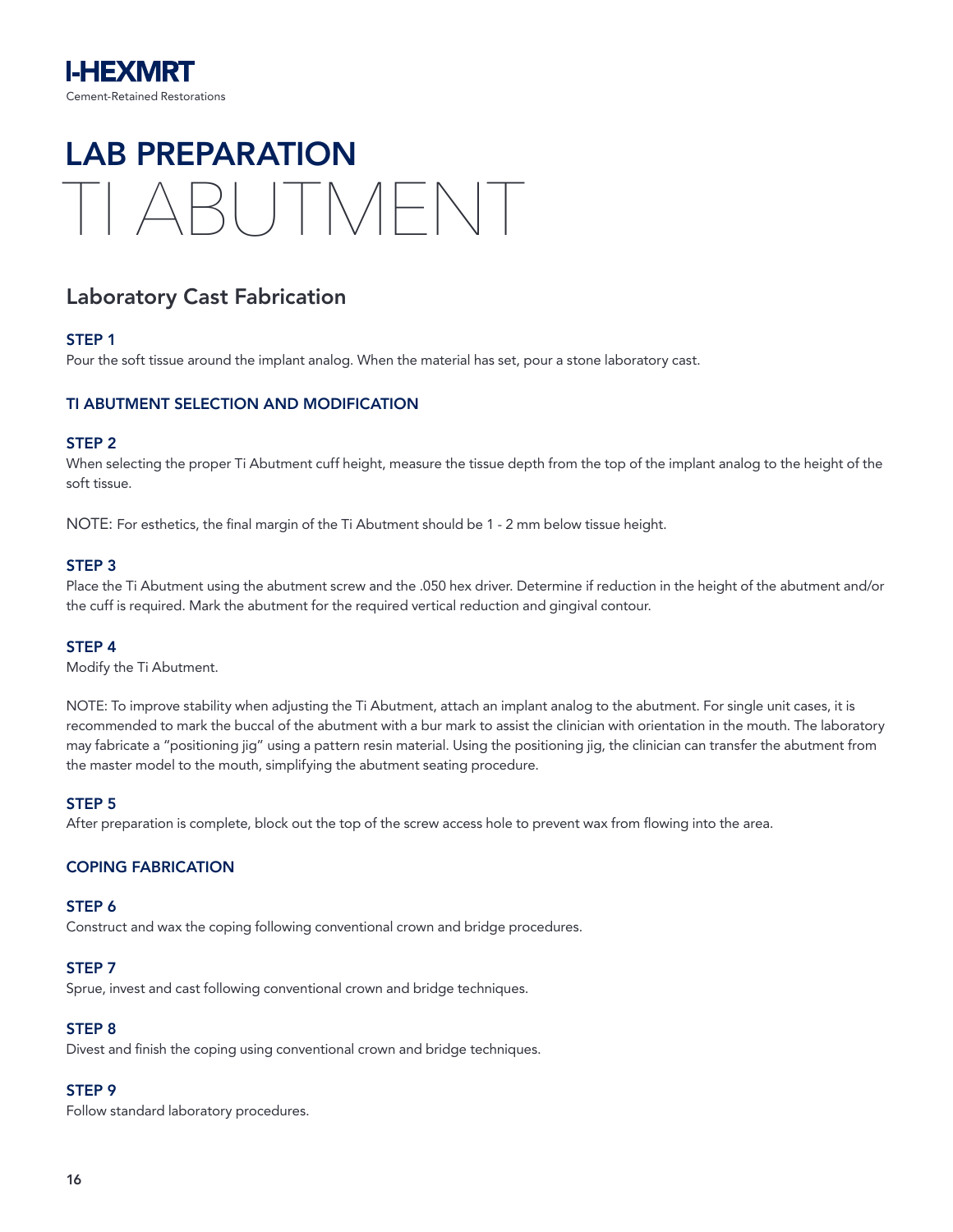

# LAB PREPARATION TI ABUTMENT

# Laboratory Cast Fabrication

#### STEP 1

Pour the soft tissue around the implant analog. When the material has set, pour a stone laboratory cast.

### TI ABUTMENT SELECTION AND MODIFICATION

#### STEP 2

When selecting the proper Ti Abutment cuff height, measure the tissue depth from the top of the implant analog to the height of the soft tissue.

NOTE: For esthetics, the final margin of the Ti Abutment should be 1 - 2 mm below tissue height.

#### STEP 3

Place the Ti Abutment using the abutment screw and the .050 hex driver. Determine if reduction in the height of the abutment and/or the cuff is required. Mark the abutment for the required vertical reduction and gingival contour.

#### STEP 4

Modify the Ti Abutment.

NOTE: To improve stability when adjusting the Ti Abutment, attach an implant analog to the abutment. For single unit cases, it is recommended to mark the buccal of the abutment with a bur mark to assist the clinician with orientation in the mouth. The laboratory may fabricate a "positioning jig" using a pattern resin material. Using the positioning jig, the clinician can transfer the abutment from the master model to the mouth, simplifying the abutment seating procedure.

#### STEP 5

After preparation is complete, block out the top of the screw access hole to prevent wax from flowing into the area.

### COPING FABRICATION

#### STEP 6

Construct and wax the coping following conventional crown and bridge procedures.

#### STEP 7

Sprue, invest and cast following conventional crown and bridge techniques.

#### STEP 8

Divest and finish the coping using conventional crown and bridge techniques.

#### STEP 9

Follow standard laboratory procedures.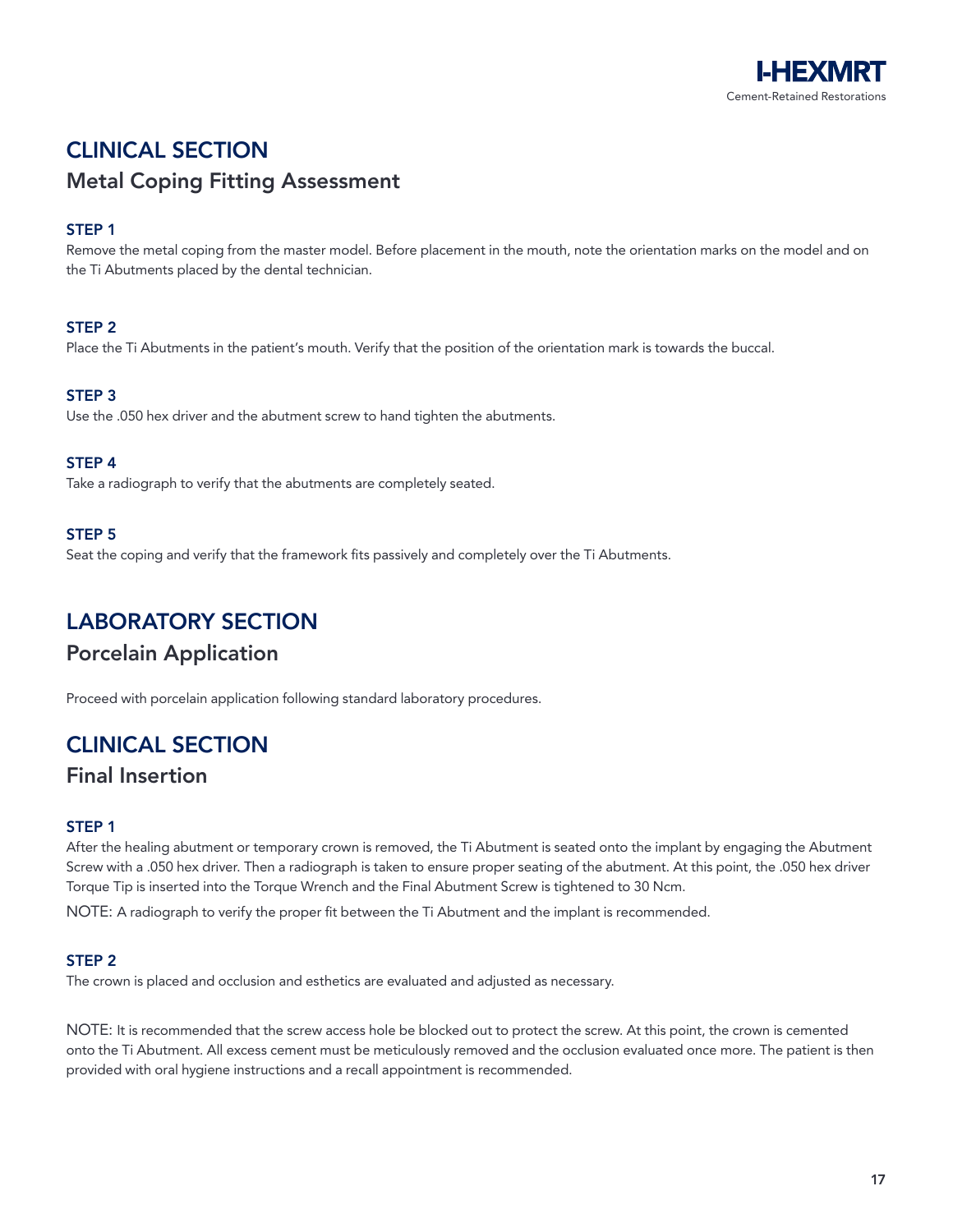

# CLINICAL SECTION Metal Coping Fitting Assessment

## STEP 1

Remove the metal coping from the master model. Before placement in the mouth, note the orientation marks on the model and on the Ti Abutments placed by the dental technician.

### STEP 2

Place the Ti Abutments in the patient's mouth. Verify that the position of the orientation mark is towards the buccal.

### STEP 3

Use the .050 hex driver and the abutment screw to hand tighten the abutments.

### STEP 4

Take a radiograph to verify that the abutments are completely seated.

### STEP 5

Seat the coping and verify that the framework fits passively and completely over the Ti Abutments.

# LABORATORY SECTION

# Porcelain Application

Proceed with porcelain application following standard laboratory procedures.

# CLINICAL SECTION

# Final Insertion

#### STEP 1

After the healing abutment or temporary crown is removed, the Ti Abutment is seated onto the implant by engaging the Abutment Screw with a .050 hex driver. Then a radiograph is taken to ensure proper seating of the abutment. At this point, the .050 hex driver Torque Tip is inserted into the Torque Wrench and the Final Abutment Screw is tightened to 30 Ncm.

NOTE: A radiograph to verify the proper fit between the Ti Abutment and the implant is recommended.

### STEP 2

The crown is placed and occlusion and esthetics are evaluated and adjusted as necessary.

NOTE: It is recommended that the screw access hole be blocked out to protect the screw. At this point, the crown is cemented onto the Ti Abutment. All excess cement must be meticulously removed and the occlusion evaluated once more. The patient is then provided with oral hygiene instructions and a recall appointment is recommended.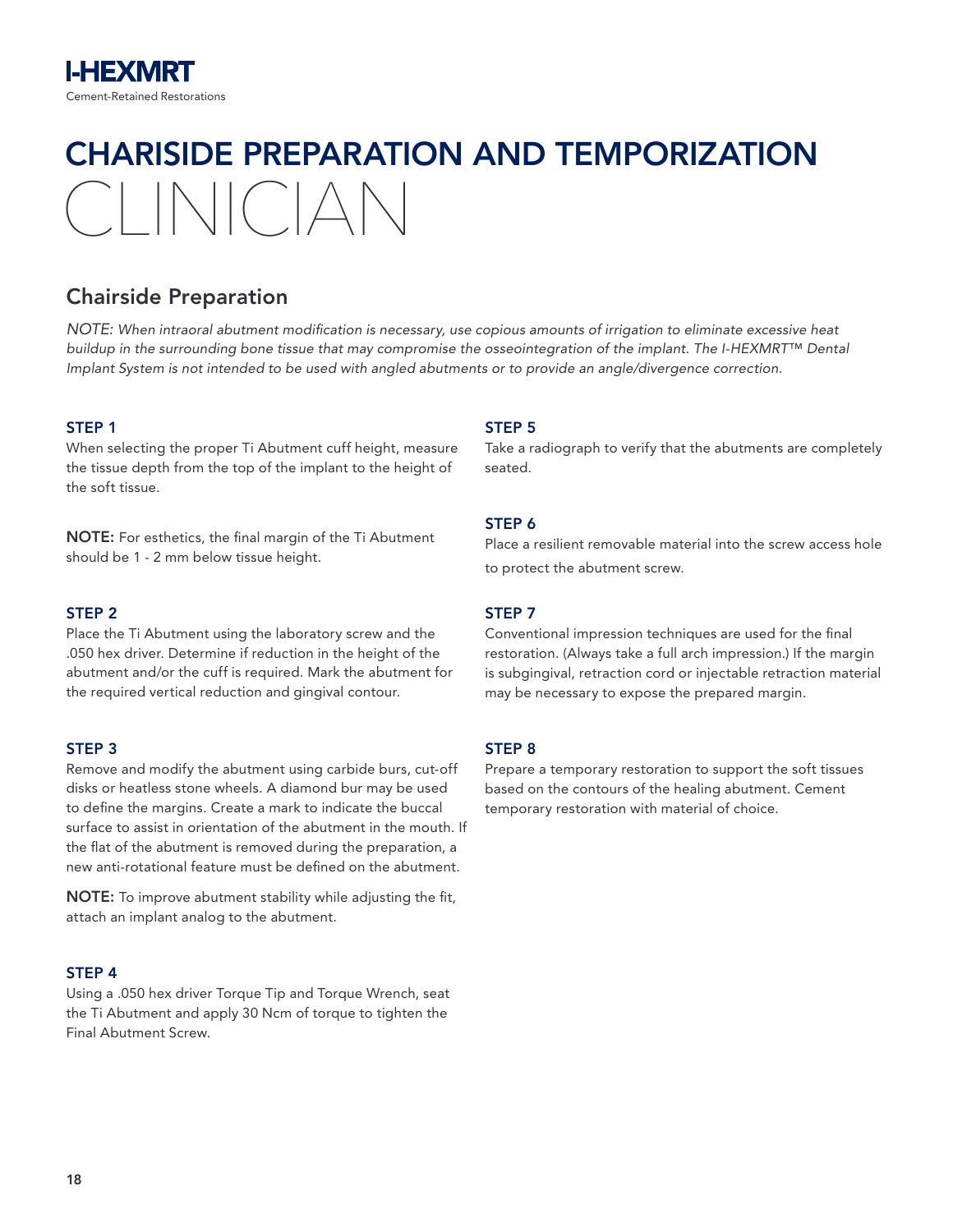

# CHARISIDE PREPARATION AND TEMPORIZATION CLINICIAN

# Chairside Preparation

*NOTE: When intraoral abutment modification is necessary, use copious amounts of irrigation to eliminate excessive heat buildup in the surrounding bone tissue that may compromise the osseointegration of the implant. The I-HEXMRT*™ *Dental Implant System is not intended to be used with angled abutments or to provide an angle/divergence correction.*

### STEP 1

When selecting the proper Ti Abutment cuff height, measure the tissue depth from the top of the implant to the height of the soft tissue.

NOTE: For esthetics, the final margin of the Ti Abutment should be 1 - 2 mm below tissue height.

#### STEP 2

Place the Ti Abutment using the laboratory screw and the .050 hex driver. Determine if reduction in the height of the abutment and/or the cuff is required. Mark the abutment for the required vertical reduction and gingival contour.

### STEP 3

Remove and modify the abutment using carbide burs, cut-off disks or heatless stone wheels. A diamond bur may be used to define the margins. Create a mark to indicate the buccal surface to assist in orientation of the abutment in the mouth. If the flat of the abutment is removed during the preparation, a new anti-rotational feature must be defined on the abutment.

NOTE: To improve abutment stability while adjusting the fit, attach an implant analog to the abutment.

#### STEP 4

Using a .050 hex driver Torque Tip and Torque Wrench, seat the Ti Abutment and apply 30 Ncm of torque to tighten the Final Abutment Screw.

#### STEP 5

Take a radiograph to verify that the abutments are completely seated.

### STEP 6

Place a resilient removable material into the screw access hole to protect the abutment screw.

#### STEP 7

Conventional impression techniques are used for the final restoration. (Always take a full arch impression.) If the margin is subgingival, retraction cord or injectable retraction material may be necessary to expose the prepared margin.

### STEP 8

Prepare a temporary restoration to support the soft tissues based on the contours of the healing abutment. Cement temporary restoration with material of choice.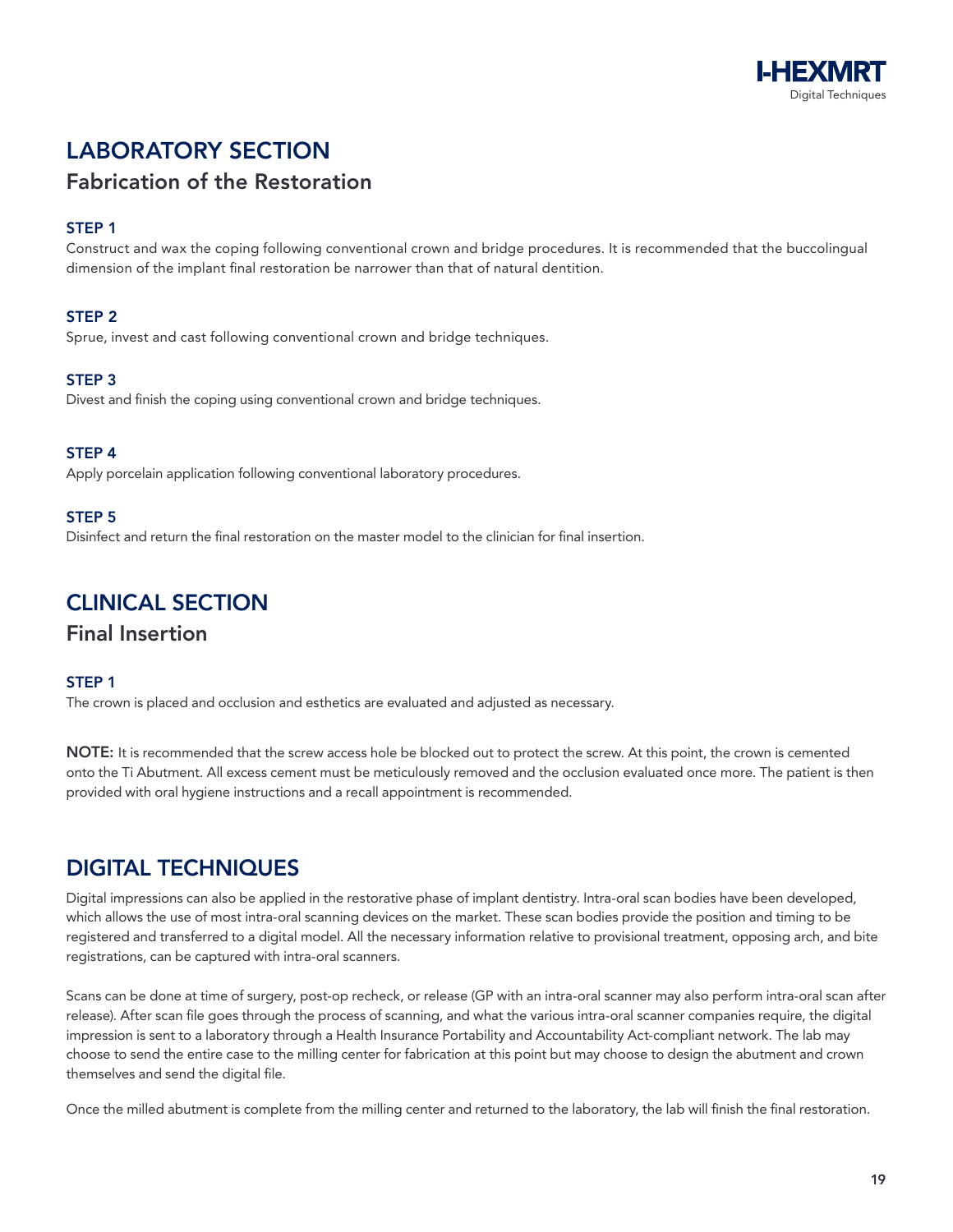

# LABORATORY SECTION

# Fabrication of the Restoration

## STEP 1

Construct and wax the coping following conventional crown and bridge procedures. It is recommended that the buccolingual dimension of the implant final restoration be narrower than that of natural dentition.

### STEP 2

Sprue, invest and cast following conventional crown and bridge techniques.

### STEP 3

Divest and finish the coping using conventional crown and bridge techniques.

## STEP 4

Apply porcelain application following conventional laboratory procedures.

### STEP 5

Disinfect and return the final restoration on the master model to the clinician for final insertion.

# CLINICAL SECTION

# Final Insertion

### STEP 1

The crown is placed and occlusion and esthetics are evaluated and adjusted as necessary.

NOTE: It is recommended that the screw access hole be blocked out to protect the screw. At this point, the crown is cemented onto the Ti Abutment. All excess cement must be meticulously removed and the occlusion evaluated once more. The patient is then provided with oral hygiene instructions and a recall appointment is recommended.

# DIGITAL TECHNIQUES

Digital impressions can also be applied in the restorative phase of implant dentistry. Intra-oral scan bodies have been developed, which allows the use of most intra-oral scanning devices on the market. These scan bodies provide the position and timing to be registered and transferred to a digital model. All the necessary information relative to provisional treatment, opposing arch, and bite registrations, can be captured with intra-oral scanners.

Scans can be done at time of surgery, post-op recheck, or release (GP with an intra-oral scanner may also perform intra-oral scan after release). After scan file goes through the process of scanning, and what the various intra-oral scanner companies require, the digital impression is sent to a laboratory through a Health Insurance Portability and Accountability Act-compliant network. The lab may choose to send the entire case to the milling center for fabrication at this point but may choose to design the abutment and crown themselves and send the digital file.

Once the milled abutment is complete from the milling center and returned to the laboratory, the lab will finish the final restoration.